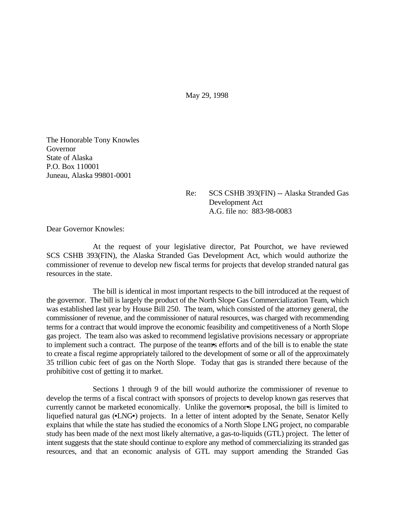May 29, 1998

The Honorable Tony Knowles Governor State of Alaska P.O. Box 110001 Juneau, Alaska 99801-0001

> Re: SCS CSHB 393(FIN) -- Alaska Stranded Gas Development Act A.G. file no: 883-98-0083

Dear Governor Knowles:

At the request of your legislative director, Pat Pourchot, we have reviewed SCS CSHB 393(FIN), the Alaska Stranded Gas Development Act, which would authorize the commissioner of revenue to develop new fiscal terms for projects that develop stranded natural gas resources in the state.

The bill is identical in most important respects to the bill introduced at the request of the governor. The bill is largely the product of the North Slope Gas Commercialization Team, which was established last year by House Bill 250. The team, which consisted of the attorney general, the commissioner of revenue, and the commissioner of natural resources, was charged with recommending terms for a contract that would improve the economic feasibility and competitiveness of a North Slope gas project. The team also was asked to recommend legislative provisions necessary or appropriate to implement such a contract. The purpose of the team•s efforts and of the bill is to enable the state to create a fiscal regime appropriately tailored to the development of some or all of the approximately 35 trillion cubic feet of gas on the North Slope. Today that gas is stranded there because of the prohibitive cost of getting it to market.

Sections 1 through 9 of the bill would authorize the commissioner of revenue to develop the terms of a fiscal contract with sponsors of projects to develop known gas reserves that currently cannot be marketed economically. Unlike the governor<sup>•</sup>s proposal, the bill is limited to liquefied natural gas (•LNG•) projects. In a letter of intent adopted by the Senate, Senator Kelly explains that while the state has studied the economics of a North Slope LNG project, no comparable study has been made of the next most likely alternative, a gas-to-liquids (GTL) project. The letter of intent suggests that the state should continue to explore any method of commercializing its stranded gas resources, and that an economic analysis of GTL may support amending the Stranded Gas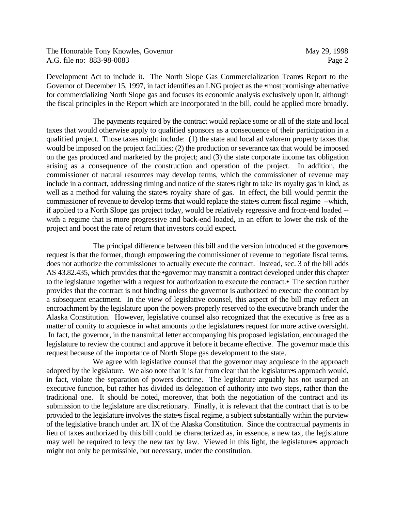The Honorable Tony Knowles, Governor May 29, 1998 A.G. file no: 883-98-0083 Page 2

Development Act to include it. The North Slope Gas Commercialization Team's Report to the Governor of December 15, 1997, in fact identifies an LNG project as the •most promising• alternative for commercializing North Slope gas and focuses its economic analysis exclusively upon it, although the fiscal principles in the Report which are incorporated in the bill, could be applied more broadly.

The payments required by the contract would replace some or all of the state and local taxes that would otherwise apply to qualified sponsors as a consequence of their participation in a qualified project. Those taxes might include: (1) the state and local ad valorem property taxes that would be imposed on the project facilities; (2) the production or severance tax that would be imposed on the gas produced and marketed by the project; and (3) the state corporate income tax obligation arising as a consequence of the construction and operation of the project. In addition, the commissioner of natural resources may develop terms, which the commissioner of revenue may include in a contract, addressing timing and notice of the state•s right to take its royalty gas in kind, as well as a method for valuing the state<sup>s</sup> royalty share of gas. In effect, the bill would permit the commissioner of revenue to develop terms that would replace the state•s current fiscal regime --which, if applied to a North Slope gas project today, would be relatively regressive and front-end loaded - with a regime that is more progressive and back-end loaded, in an effort to lower the risk of the project and boost the rate of return that investors could expect.

The principal difference between this bill and the version introduced at the governors request is that the former, though empowering the commissioner of revenue to negotiate fiscal terms, does not authorize the commissioner to actually execute the contract. Instead, sec. 3 of the bill adds AS 43.82.435, which provides that the •governor may transmit a contract developed under this chapter to the legislature together with a request for authorization to execute the contract.• The section further provides that the contract is not binding unless the governor is authorized to execute the contract by a subsequent enactment. In the view of legislative counsel, this aspect of the bill may reflect an encroachment by the legislature upon the powers properly reserved to the executive branch under the Alaska Constitution. However, legislative counsel also recognized that the executive is free as a matter of comity to acquiesce in what amounts to the legislature•s request for more active oversight. In fact, the governor, in the transmittal letter accompanying his proposed legislation, encouraged the legislature to review the contract and approve it before it became effective. The governor made this request because of the importance of North Slope gas development to the state.

We agree with legislative counsel that the governor may acquiesce in the approach adopted by the legislature. We also note that it is far from clear that the legislatures approach would, in fact, violate the separation of powers doctrine. The legislature arguably has not usurped an executive function, but rather has divided its delegation of authority into two steps, rather than the traditional one. It should be noted, moreover, that both the negotiation of the contract and its submission to the legislature are discretionary. Finally, it is relevant that the contract that is to be provided to the legislature involves the state•s fiscal regime, a subject substantially within the purview of the legislative branch under art. IX of the Alaska Constitution. Since the contractual payments in lieu of taxes authorized by this bill could be characterized as, in essence, a new tax, the legislature may well be required to levy the new tax by law. Viewed in this light, the legislature • approach might not only be permissible, but necessary, under the constitution.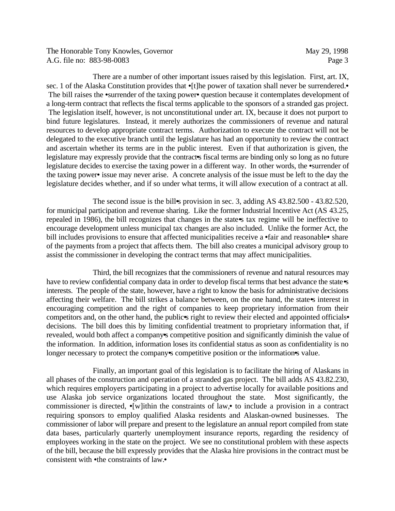The Honorable Tony Knowles, Governor May 29, 1998 A.G. file no: 883-98-0083 Page 3

There are a number of other important issues raised by this legislation. First, art. IX, sec. 1 of the Alaska Constitution provides that •[t]he power of taxation shall never be surrendered.• The bill raises the •surrender of the taxing power• question because it contemplates development of a long-term contract that reflects the fiscal terms applicable to the sponsors of a stranded gas project. The legislation itself, however, is not unconstitutional under art. IX, because it does not purport to bind future legislatures. Instead, it merely authorizes the commissioners of revenue and natural resources to develop appropriate contract terms. Authorization to execute the contract will not be delegated to the executive branch until the legislature has had an opportunity to review the contract and ascertain whether its terms are in the public interest. Even if that authorization is given, the legislature may expressly provide that the contract<sup>t</sup>s fiscal terms are binding only so long as no future legislature decides to exercise the taxing power in a different way. In other words, the •surrender of the taxing power• issue may never arise. A concrete analysis of the issue must be left to the day the legislature decides whether, and if so under what terms, it will allow execution of a contract at all.

The second issue is the bill•s provision in sec. 3, adding AS 43.82.500 - 43.82.520, for municipal participation and revenue sharing. Like the former Industrial Incentive Act (AS 43.25, repealed in 1986), the bill recognizes that changes in the state•s tax regime will be ineffective to encourage development unless municipal tax changes are also included. Unlike the former Act, the bill includes provisions to ensure that affected municipalities receive a •fair and reasonable• share of the payments from a project that affects them. The bill also creates a municipal advisory group to assist the commissioner in developing the contract terms that may affect municipalities.

Third, the bill recognizes that the commissioners of revenue and natural resources may have to review confidential company data in order to develop fiscal terms that best advance the state  $\cdot$ s interests. The people of the state, however, have a right to know the basis for administrative decisions affecting their welfare. The bill strikes a balance between, on the one hand, the state interest in encouraging competition and the right of companies to keep proprietary information from their competitors and, on the other hand, the public•s right to review their elected and appointed officials• decisions. The bill does this by limiting confidential treatment to proprietary information that, if revealed, would both affect a company•s competitive position and significantly diminish the value of the information. In addition, information loses its confidential status as soon as confidentiality is no longer necessary to protect the company•s competitive position or the information•s value.

Finally, an important goal of this legislation is to facilitate the hiring of Alaskans in all phases of the construction and operation of a stranded gas project. The bill adds AS 43.82.230, which requires employers participating in a project to advertise locally for available positions and use Alaska job service organizations located throughout the state. Most significantly, the commissioner is directed, •[w]ithin the constraints of law,• to include a provision in a contract requiring sponsors to employ qualified Alaska residents and Alaskan-owned businesses. The commissioner of labor will prepare and present to the legislature an annual report compiled from state data bases, particularly quarterly unemployment insurance reports, regarding the residency of employees working in the state on the project. We see no constitutional problem with these aspects of the bill, because the bill expressly provides that the Alaska hire provisions in the contract must be consistent with •the constraints of law.•